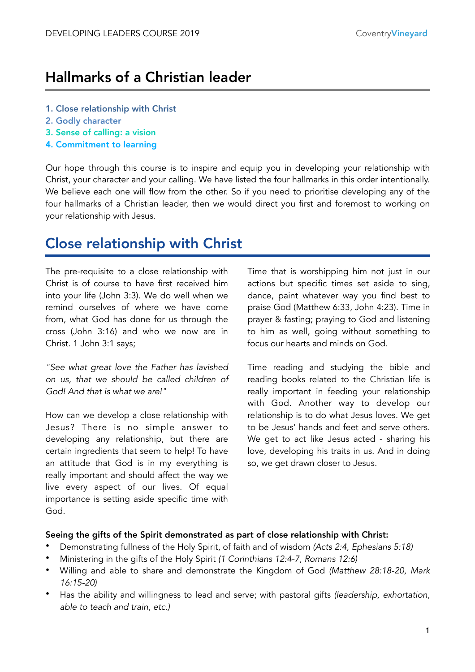# Hallmarks of a Christian leader

- 1. Close relationship with Christ
- 2. Godly character
- 3. Sense of calling: a vision
- 4. Commitment to learning

Our hope through this course is to inspire and equip you in developing your relationship with Christ, your character and your calling. We have listed the four hallmarks in this order intentionally. We believe each one will flow from the other. So if you need to prioritise developing any of the four hallmarks of a Christian leader, then we would direct you first and foremost to working on your relationship with Jesus.

# Close relationship with Christ

The pre-requisite to a close relationship with Christ is of course to have first received him into your life (John 3:3). We do well when we remind ourselves of where we have come from, what God has done for us through the cross (John 3:16) and who we now are in Christ. 1 John 3:1 says;

*"See what great love the Father has lavished on us, that we should be called children of God! And that is what we are!"* 

How can we develop a close relationship with Jesus? There is no simple answer to developing any relationship, but there are certain ingredients that seem to help! To have an attitude that God is in my everything is really important and should affect the way we live every aspect of our lives. Of equal importance is setting aside specific time with God.

Time that is worshipping him not just in our actions but specific times set aside to sing, dance, paint whatever way you find best to praise God (Matthew 6:33, John 4:23). Time in prayer & fasting; praying to God and listening to him as well, going without something to focus our hearts and minds on God.

Time reading and studying the bible and reading books related to the Christian life is really important in feeding your relationship with God. Another way to develop our relationship is to do what Jesus loves. We get to be Jesus' hands and feet and serve others. We get to act like Jesus acted - sharing his love, developing his traits in us. And in doing so, we get drawn closer to Jesus.

#### Seeing the gifts of the Spirit demonstrated as part of close relationship with Christ:

- Demonstrating fullness of the Holy Spirit, of faith and of wisdom *(Acts 2:4, Ephesians 5:18)*
- Ministering in the gifts of the Holy Spirit *(1 Corinthians 12:4-7, Romans 12:6)*
- Willing and able to share and demonstrate the Kingdom of God *(Matthew 28:18-20, Mark 16:15-20)*
- Has the ability and willingness to lead and serve; with pastoral gifts *(leadership, exhortation, able to teach and train, etc.)*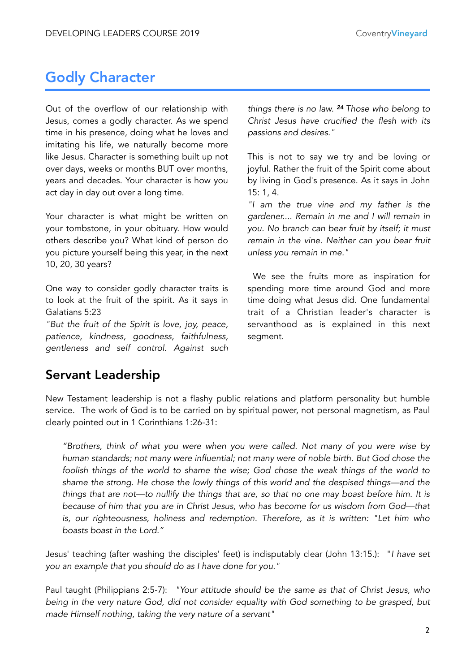# Godly Character

Out of the overflow of our relationship with Jesus, comes a godly character. As we spend time in his presence, doing what he loves and imitating his life, we naturally become more like Jesus. Character is something built up not over days, weeks or months BUT over months, years and decades. Your character is how you act day in day out over a long time.

Your character is what might be written on your tombstone, in your obituary. How would others describe you? What kind of person do you picture yourself being this year, in the next 10, 20, 30 years?

One way to consider godly character traits is to look at the fruit of the spirit. As it says in Galatians 5:23

*"But the fruit of the Spirit is love, joy, peace, patience, kindness, goodness, faithfulness, gentleness and self control. Against such*  *things there is no law. <sup>24</sup> Those who belong to Christ Jesus have crucified the flesh with its passions and desires."* 

This is not to say we try and be loving or joyful. Rather the fruit of the Spirit come about by living in God's presence. As it says in John 15: 1, 4.

*"I am the true vine and my father is the gardener.... Remain in me and I will remain in you. No branch can bear fruit by itself; it must remain in the vine. Neither can you bear fruit unless you remain in me."* 

 We see the fruits more as inspiration for spending more time around God and more time doing what Jesus did. One fundamental trait of a Christian leader's character is servanthood as is explained in this next segment.

### Servant Leadership

New Testament leadership is not a flashy public relations and platform personality but humble service. The work of God is to be carried on by spiritual power, not personal magnetism, as Paul clearly pointed out in 1 Corinthians 1:26-31:

*"Brothers, think of what you were when you were called. Not many of you were wise by human standards; not many were influential; not many were of noble birth. But God chose the foolish things of the world to shame the wise; God chose the weak things of the world to shame the strong. He chose the lowly things of this world and the despised things—and the things that are not—to nullify the things that are, so that no one may boast before him. It is because of him that you are in Christ Jesus, who has become for us wisdom from God—that is, our righteousness, holiness and redemption. Therefore, as it is written: "Let him who boasts boast in the Lord."* 

Jesus' teaching (after washing the disciples' feet) is indisputably clear (John 13:15.): "*I have set you an example that you should do as I have done for you."* 

Paul taught (Philippians 2:5-7): *"Your attitude should be the same as that of Christ Jesus, who being in the very nature God, did not consider equality with God something to be grasped, but made Himself nothing, taking the very nature of a servant"*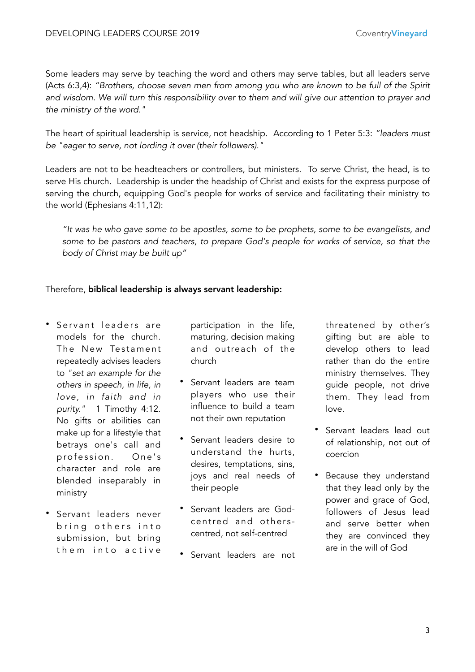Some leaders may serve by teaching the word and others may serve tables, but all leaders serve (Acts 6:3,4): *"Brothers, choose seven men from among you who are known to be full of the Spirit and wisdom. We will turn this responsibility over to them and will give our attention to prayer and the ministry of the word."* 

The heart of spiritual leadership is service, not headship. According to 1 Peter 5:3: *"leaders must be "eager to serve, not lording it over (their followers)."* 

Leaders are not to be headteachers or controllers, but ministers. To serve Christ, the head, is to serve His church. Leadership is under the headship of Christ and exists for the express purpose of serving the church, equipping God's people for works of service and facilitating their ministry to the world (Ephesians 4:11,12):

*"It was he who gave some to be apostles, some to be prophets, some to be evangelists, and some to be pastors and teachers, to prepare God's people for works of service, so that the body of Christ may be built up"* 

#### Therefore, biblical leadership is always servant leadership:

- Servant leaders are models for the church. The New Testament repeatedly advises leaders to *"set an example for the others in speech, in life, in love, in faith and in purity."* 1 Timothy 4:12. No gifts or abilities can make up for a lifestyle that betrays one's call and profession. One's character and role are blended inseparably in ministry
- Servant leaders never bring others into submission, but bring them into active

participation in the life, maturing, decision making and outreach of the church

- Servant leaders are team players who use their influence to build a team not their own reputation
- Servant leaders desire to understand the hurts, desires, temptations, sins, joys and real needs of their people
- Servant leaders are Godcentred and otherscentred, not self-centred
- Servant leaders are not

threatened by other's gifting but are able to develop others to lead rather than do the entire ministry themselves. They guide people, not drive them. They lead from love.

- Servant leaders lead out of relationship, not out of coercion
- Because they understand that they lead only by the power and grace of God, followers of Jesus lead and serve better when they are convinced they are in the will of God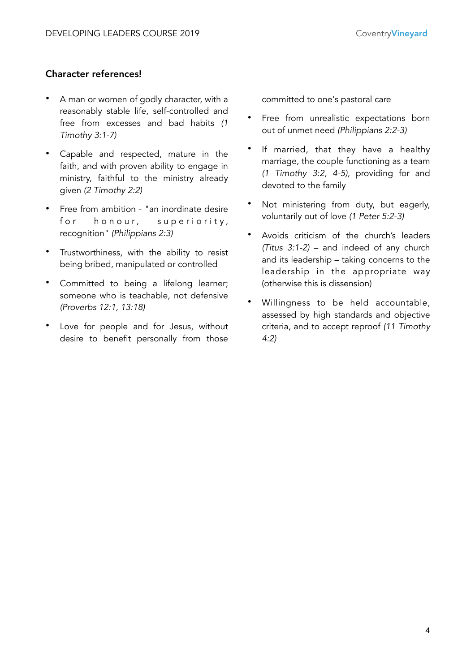### Character references!

- A man or women of godly character, with a reasonably stable life, self-controlled and free from excesses and bad habits *(1 Timothy 3:1-7)*
- Capable and respected, mature in the faith, and with proven ability to engage in ministry, faithful to the ministry already given *(2 Timothy 2:2)*
- Free from ambition "an inordinate desire for honour, superiority, recognition" *(Philippians 2:3)*
- Trustworthiness, with the ability to resist being bribed, manipulated or controlled
- Committed to being a lifelong learner; someone who is teachable, not defensive *(Proverbs 12:1, 13:18)*
- Love for people and for Jesus, without desire to benefit personally from those

committed to one's pastoral care

- Free from unrealistic expectations born out of unmet need *(Philippians 2:2-3)*
- If married, that they have a healthy marriage, the couple functioning as a team *(1 Timothy 3:2, 4-5)*, providing for and devoted to the family
- Not ministering from duty, but eagerly, voluntarily out of love *(1 Peter 5:2-3)*
- Avoids criticism of the church's leaders *(Titus 3:1-2)* – and indeed of any church and its leadership – taking concerns to the leadership in the appropriate way (otherwise this is dissension)
- Willingness to be held accountable, assessed by high standards and objective criteria, and to accept reproof *(11 Timothy 4:2)*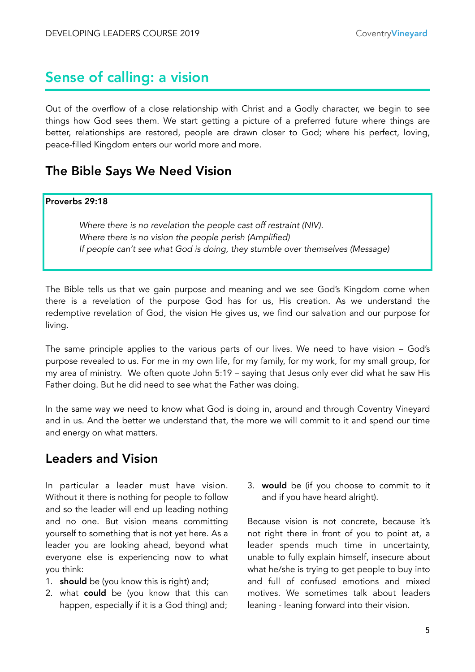# Sense of calling: a vision

Out of the overflow of a close relationship with Christ and a Godly character, we begin to see things how God sees them. We start getting a picture of a preferred future where things are better, relationships are restored, people are drawn closer to God; where his perfect, loving, peace-filled Kingdom enters our world more and more.

### The Bible Says We Need Vision

#### Proverbs 29:18

*Where there is no revelation the people cast off restraint (NIV). Where there is no vision the people perish (Amplified) If people can't see what God is doing, they stumble over themselves (Message)* 

The Bible tells us that we gain purpose and meaning and we see God's Kingdom come when there is a revelation of the purpose God has for us, His creation. As we understand the redemptive revelation of God, the vision He gives us, we find our salvation and our purpose for living.

The same principle applies to the various parts of our lives. We need to have vision – God's purpose revealed to us. For me in my own life, for my family, for my work, for my small group, for my area of ministry. We often quote John 5:19 – saying that Jesus only ever did what he saw His Father doing. But he did need to see what the Father was doing.

In the same way we need to know what God is doing in, around and through Coventry Vineyard and in us. And the better we understand that, the more we will commit to it and spend our time and energy on what matters.

### Leaders and Vision

In particular a leader must have vision. Without it there is nothing for people to follow and so the leader will end up leading nothing and no one. But vision means committing yourself to something that is not yet here. As a leader you are looking ahead, beyond what everyone else is experiencing now to what you think:

- 1. **should** be (you know this is right) and:
- 2. what **could** be (you know that this can happen, especially if it is a God thing) and;

3. would be (if you choose to commit to it and if you have heard alright).

Because vision is not concrete, because it's not right there in front of you to point at, a leader spends much time in uncertainty, unable to fully explain himself, insecure about what he/she is trying to get people to buy into and full of confused emotions and mixed motives. We sometimes talk about leaders leaning - leaning forward into their vision.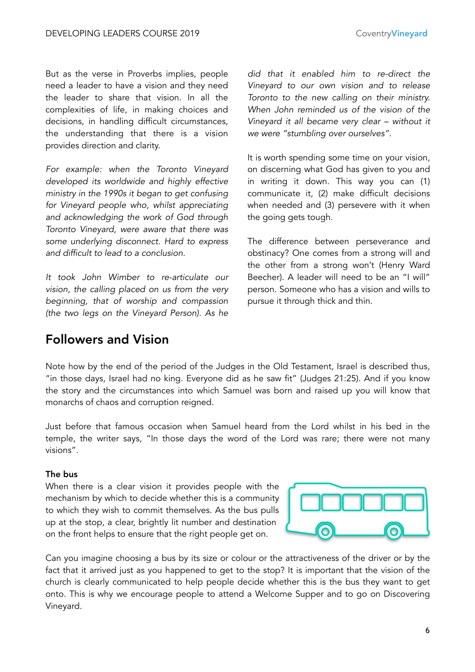But as the verse in Proverbs implies, people need a leader to have a vision and they need the leader to share that vision. In all the complexities of life, in making choices and decisions, in handling difficult circumstances, the understanding that there is a vision provides direction and clarity.

*For example: when the Toronto Vineyard developed its worldwide and highly effective ministry in the 1990s it began to get confusing for Vineyard people who, whilst appreciating and acknowledging the work of God through Toronto Vineyard, were aware that there was some underlying disconnect. Hard to express and difficult to lead to a conclusion.* 

*It took John Wimber to re-articulate our vision, the calling placed on us from the very beginning, that of worship and compassion (the two legs on the Vineyard Person). As he*  *did that it enabled him to re-direct the Vineyard to our own vision and to release Toronto to the new calling on their ministry. When John reminded us of the vision of the Vineyard it all became very clear – without it we were "stumbling over ourselves".* 

It is worth spending some time on your vision, on discerning what God has given to you and in writing it down. This way you can (1) communicate it, (2) make difficult decisions when needed and (3) persevere with it when the going gets tough.

The difference between perseverance and obstinacy? One comes from a strong will and the other from a strong won't (Henry Ward Beecher). A leader will need to be an "I will" person. Someone who has a vision and wills to pursue it through thick and thin.

### Followers and Vision

Note how by the end of the period of the Judges in the Old Testament, Israel is described thus, "in those days, Israel had no king. Everyone did as he saw fit" (Judges 21:25). And if you know the story and the circumstances into which Samuel was born and raised up you will know that monarchs of chaos and corruption reigned.

Just before that famous occasion when Samuel heard from the Lord whilst in his bed in the temple, the writer says, "In those days the word of the Lord was rare; there were not many visions".

#### The bus

When there is a clear vision it provides people with the mechanism by which to decide whether this is a community to which they wish to commit themselves. As the bus pulls up at the stop, a clear, brightly lit number and destination on the front helps to ensure that the right people get on.



Can you imagine choosing a bus by its size or colour or the attractiveness of the driver or by the fact that it arrived just as you happened to get to the stop? It is important that the vision of the church is clearly communicated to help people decide whether this is the bus they want to get onto. This is why we encourage people to attend a Welcome Supper and to go on Discovering Vineyard.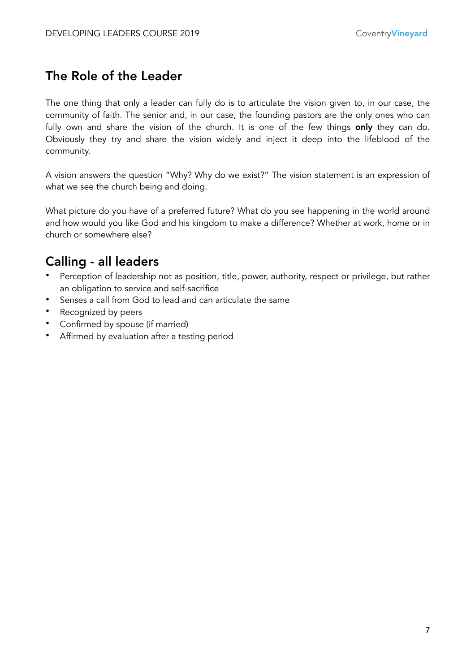# The Role of the Leader

The one thing that only a leader can fully do is to articulate the vision given to, in our case, the community of faith. The senior and, in our case, the founding pastors are the only ones who can fully own and share the vision of the church. It is one of the few things only they can do. Obviously they try and share the vision widely and inject it deep into the lifeblood of the community.

A vision answers the question "Why? Why do we exist?" The vision statement is an expression of what we see the church being and doing.

What picture do you have of a preferred future? What do you see happening in the world around and how would you like God and his kingdom to make a difference? Whether at work, home or in church or somewhere else?

# Calling - all leaders

- Perception of leadership not as position, title, power, authority, respect or privilege, but rather an obligation to service and self-sacrifice
- Senses a call from God to lead and can articulate the same
- Recognized by peers
- Confirmed by spouse (if married)
- Affirmed by evaluation after a testing period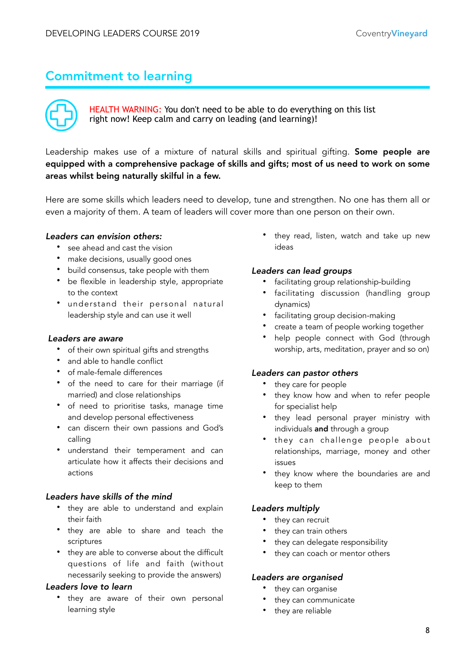# Commitment to learning



HEALTH WARNING: You don't need to be able to do everything on this list right now! Keep calm and carry on leading (and learning)!

Leadership makes use of a mixture of natural skills and spiritual gifting. Some people are equipped with a comprehensive package of skills and gifts; most of us need to work on some areas whilst being naturally skilful in a few.

Here are some skills which leaders need to develop, tune and strengthen. No one has them all or even a majority of them. A team of leaders will cover more than one person on their own.

#### *Leaders can envision others:*

- see ahead and cast the vision
- make decisions, usually good ones
- build consensus, take people with them
- be flexible in leadership style, appropriate to the context
- understand their personal natural leadership style and can use it well

#### *Leaders are aware*

- of their own spiritual gifts and strengths
- and able to handle conflict
- of male-female differences
- of the need to care for their marriage (if married) and close relationships
- of need to prioritise tasks, manage time and develop personal effectiveness
- can discern their own passions and God's calling
- understand their temperament and can articulate how it affects their decisions and actions

#### *Leaders have skills of the mind*

- they are able to understand and explain their faith
- they are able to share and teach the scriptures
- they are able to converse about the difficult questions of life and faith (without necessarily seeking to provide the answers)

#### *Leaders love to learn*

• they are aware of their own personal learning style

they read, listen, watch and take up new ideas

#### *Leaders can lead groups*

- facilitating group relationship-building
- facilitating discussion (handling group dynamics)
- facilitating group decision-making
- create a team of people working together
- help people connect with God (through worship, arts, meditation, prayer and so on)

#### *Leaders can pastor others*

- they care for people
- they know how and when to refer people for specialist help
- they lead personal prayer ministry with individuals and through a group
- they can challenge people about relationships, marriage, money and other issues
- they know where the boundaries are and keep to them

#### *Leaders multiply*

- they can recruit
- they can train others
- they can delegate responsibility
- they can coach or mentor others

#### *Leaders are organised*

- they can organise
- they can communicate
- they are reliable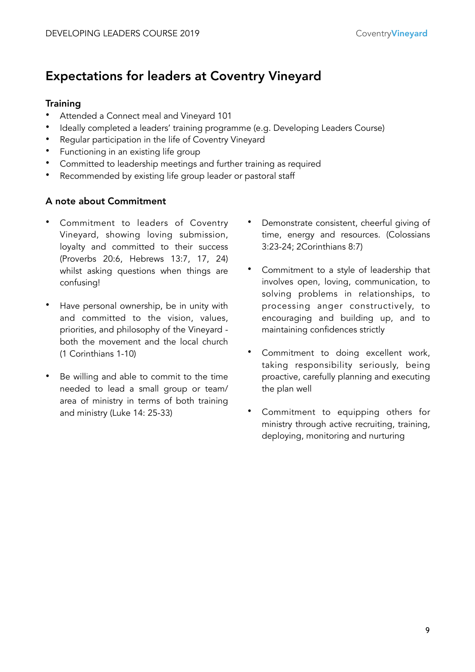### Expectations for leaders at Coventry Vineyard

### **Training**

- Attended a Connect meal and Vineyard 101
- Ideally completed a leaders' training programme (e.g. Developing Leaders Course)
- Regular participation in the life of Coventry Vineyard
- Functioning in an existing life group
- Committed to leadership meetings and further training as required
- Recommended by existing life group leader or pastoral staff

### A note about Commitment

- Commitment to leaders of Coventry Vineyard, showing loving submission, loyalty and committed to their success (Proverbs 20:6, Hebrews 13:7, 17, 24) whilst asking questions when things are confusing!
- Have personal ownership, be in unity with and committed to the vision, values, priorities, and philosophy of the Vineyard both the movement and the local church (1 Corinthians 1-10)
- Be willing and able to commit to the time needed to lead a small group or team/ area of ministry in terms of both training and ministry (Luke 14: 25-33)
- Demonstrate consistent, cheerful giving of time, energy and resources. (Colossians 3:23-24; 2Corinthians 8:7)
- Commitment to a style of leadership that involves open, loving, communication, to solving problems in relationships, to processing anger constructively, to encouraging and building up, and to maintaining confidences strictly
- Commitment to doing excellent work, taking responsibility seriously, being proactive, carefully planning and executing the plan well
- Commitment to equipping others for ministry through active recruiting, training, deploying, monitoring and nurturing